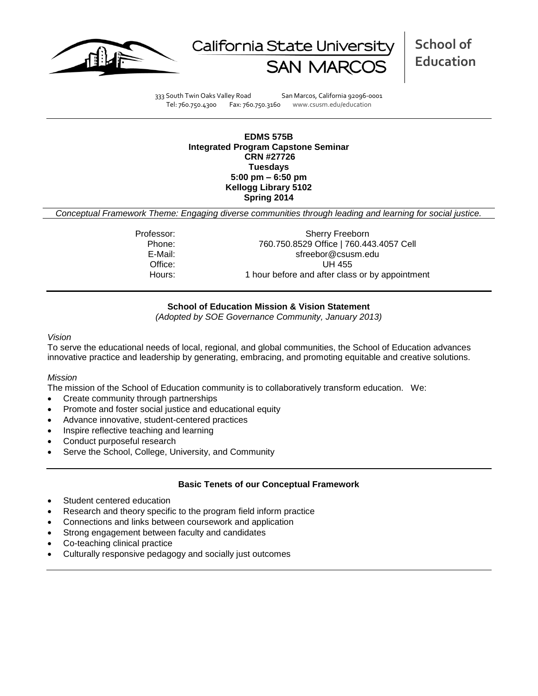



**School of Education**

333 South Twin Oaks Valley Road San Marcos, California 92096-0001 Tel: 760.750.4300 Fax: 760.750.3160 www.csusm.edu/education

**EDMS 575B Integrated Program Capstone Seminar CRN #27726 Tuesdays 5:00 pm – 6:50 pm Kellogg Library 5102 Spring 2014** 

*Conceptual Framework Theme: Engaging diverse communities through leading and learning for social justice.*

Professor: Sherry Freeborn Phone: 760.750.8529 Office | 760.443.4057 Cell E-Mail: sfreebor@csusm.edu Office: UH 455 Hours: 1 hour before and after class or by appointment

### **School of Education Mission & Vision Statement**

*(Adopted by SOE Governance Community, January 2013)*

#### *Vision*

To serve the educational needs of local, regional, and global communities, the School of Education advances innovative practice and leadership by generating, embracing, and promoting equitable and creative solutions.

#### *Mission*

The mission of the School of Education community is to collaboratively transform education. We:

- Create community through partnerships
- Promote and foster social justice and educational equity
- Advance innovative, student-centered practices
- Inspire reflective teaching and learning
- Conduct purposeful research
- Serve the School, College, University, and Community

#### **Basic Tenets of our Conceptual Framework**

- Student centered education
- Research and theory specific to the program field inform practice
- Connections and links between coursework and application
- Strong engagement between faculty and candidates
- Co-teaching clinical practice
- Culturally responsive pedagogy and socially just outcomes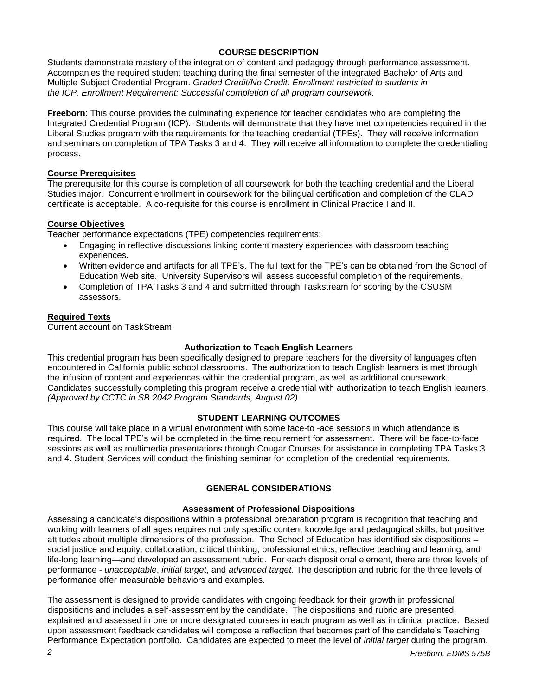# **COURSE DESCRIPTION**

Students demonstrate mastery of the integration of content and pedagogy through performance assessment. Accompanies the required student teaching during the final semester of the integrated Bachelor of Arts and Multiple Subject Credential Program. *Graded Credit/No Credit. Enrollment restricted to students in the ICP. Enrollment Requirement: Successful completion of all program coursework.*

**Freeborn**: This course provides the culminating experience for teacher candidates who are completing the Integrated Credential Program (ICP). Students will demonstrate that they have met competencies required in the Liberal Studies program with the requirements for the teaching credential (TPEs). They will receive information and seminars on completion of TPA Tasks 3 and 4. They will receive all information to complete the credentialing process.

## **Course Prerequisites**

The prerequisite for this course is completion of all coursework for both the teaching credential and the Liberal Studies major. Concurrent enrollment in coursework for the bilingual certification and completion of the CLAD certificate is acceptable. A co-requisite for this course is enrollment in Clinical Practice I and II.

### **Course Objectives**

Teacher performance expectations (TPE) competencies requirements:

- Engaging in reflective discussions linking content mastery experiences with classroom teaching experiences.
- Written evidence and artifacts for all TPE's. The full text for the TPE's can be obtained from the School of Education Web site. University Supervisors will assess successful completion of the requirements.
- Completion of TPA Tasks 3 and 4 and submitted through Taskstream for scoring by the CSUSM assessors.

### **Required Texts**

Current account on TaskStream.

### **Authorization to Teach English Learners**

This credential program has been specifically designed to prepare teachers for the diversity of languages often encountered in California public school classrooms. The authorization to teach English learners is met through the infusion of content and experiences within the credential program, as well as additional coursework. Candidates successfully completing this program receive a credential with authorization to teach English learners. *(Approved by CCTC in SB 2042 Program Standards, August 02)*

# **STUDENT LEARNING OUTCOMES**

This course will take place in a virtual environment with some face-to -ace sessions in which attendance is required. The local TPE's will be completed in the time requirement for assessment. There will be face-to-face sessions as well as multimedia presentations through Cougar Courses for assistance in completing TPA Tasks 3 and 4. Student Services will conduct the finishing seminar for completion of the credential requirements.

# **GENERAL CONSIDERATIONS**

### **Assessment of Professional Dispositions**

Assessing a candidate's dispositions within a professional preparation program is recognition that teaching and working with learners of all ages requires not only specific content knowledge and pedagogical skills, but positive attitudes about multiple dimensions of the profession. The School of Education has identified six dispositions – social justice and equity, collaboration, critical thinking, professional ethics, reflective teaching and learning, and life-long learning—and developed an assessment rubric. For each dispositional element, there are three levels of performance - *unacceptable*, *initial target*, and *advanced target*. The description and rubric for the three levels of performance offer measurable behaviors and examples.

The assessment is designed to provide candidates with ongoing feedback for their growth in professional dispositions and includes a self-assessment by the candidate. The dispositions and rubric are presented, explained and assessed in one or more designated courses in each program as well as in clinical practice. Based upon assessment feedback candidates will compose a reflection that becomes part of the candidate's Teaching Performance Expectation portfolio. Candidates are expected to meet the level of *initial target* during the program.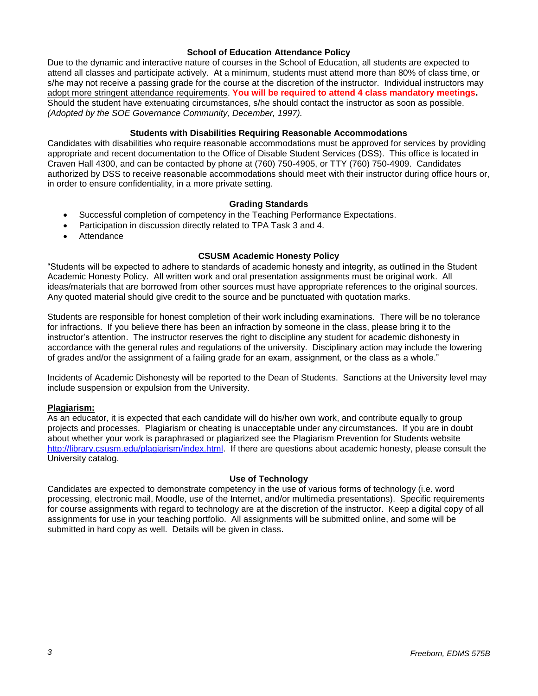#### **School of Education Attendance Policy**

Due to the dynamic and interactive nature of courses in the School of Education, all students are expected to attend all classes and participate actively. At a minimum, students must attend more than 80% of class time, or s/he may not receive a passing grade for the course at the discretion of the instructor. Individual instructors may adopt more stringent attendance requirements. **You will be required to attend 4 class mandatory meetings.**  Should the student have extenuating circumstances, s/he should contact the instructor as soon as possible. *(Adopted by the SOE Governance Community, December, 1997).*

#### **Students with Disabilities Requiring Reasonable Accommodations**

Candidates with disabilities who require reasonable accommodations must be approved for services by providing appropriate and recent documentation to the Office of Disable Student Services (DSS). This office is located in Craven Hall 4300, and can be contacted by phone at (760) 750-4905, or TTY (760) 750-4909. Candidates authorized by DSS to receive reasonable accommodations should meet with their instructor during office hours or, in order to ensure confidentiality, in a more private setting.

#### **Grading Standards**

- Successful completion of competency in the Teaching Performance Expectations.
- Participation in discussion directly related to TPA Task 3 and 4.
- Attendance

#### **CSUSM Academic Honesty Policy**

"Students will be expected to adhere to standards of academic honesty and integrity, as outlined in the Student Academic Honesty Policy. All written work and oral presentation assignments must be original work. All ideas/materials that are borrowed from other sources must have appropriate references to the original sources. Any quoted material should give credit to the source and be punctuated with quotation marks.

Students are responsible for honest completion of their work including examinations. There will be no tolerance for infractions. If you believe there has been an infraction by someone in the class, please bring it to the instructor's attention. The instructor reserves the right to discipline any student for academic dishonesty in accordance with the general rules and regulations of the university. Disciplinary action may include the lowering of grades and/or the assignment of a failing grade for an exam, assignment, or the class as a whole."

Incidents of Academic Dishonesty will be reported to the Dean of Students. Sanctions at the University level may include suspension or expulsion from the University.

#### **Plagiarism:**

As an educator, it is expected that each candidate will do his/her own work, and contribute equally to group projects and processes. Plagiarism or cheating is unacceptable under any circumstances. If you are in doubt about whether your work is paraphrased or plagiarized see the Plagiarism Prevention for Students website [http://library.csusm.edu/plagiarism/index.html.](http://library.csusm.edu/plagiarism/index.html) If there are questions about academic honesty, please consult the University catalog.

#### **Use of Technology**

Candidates are expected to demonstrate competency in the use of various forms of technology (i.e. word processing, electronic mail, Moodle, use of the Internet, and/or multimedia presentations). Specific requirements for course assignments with regard to technology are at the discretion of the instructor. Keep a digital copy of all assignments for use in your teaching portfolio. All assignments will be submitted online, and some will be submitted in hard copy as well. Details will be given in class.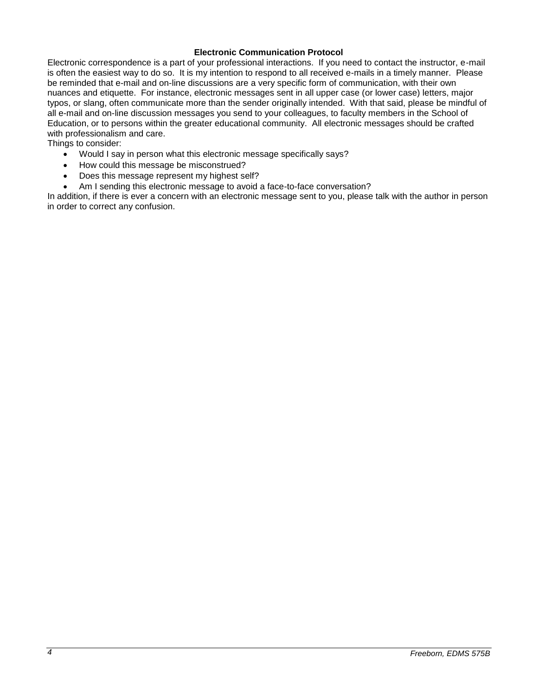### **Electronic Communication Protocol**

Electronic correspondence is a part of your professional interactions. If you need to contact the instructor, e-mail is often the easiest way to do so. It is my intention to respond to all received e-mails in a timely manner. Please be reminded that e-mail and on-line discussions are a very specific form of communication, with their own nuances and etiquette. For instance, electronic messages sent in all upper case (or lower case) letters, major typos, or slang, often communicate more than the sender originally intended. With that said, please be mindful of all e-mail and on-line discussion messages you send to your colleagues, to faculty members in the School of Education, or to persons within the greater educational community. All electronic messages should be crafted with professionalism and care.

Things to consider:

- Would I say in person what this electronic message specifically says?
- How could this message be misconstrued?
- Does this message represent my highest self?
- Am I sending this electronic message to avoid a face-to-face conversation?

In addition, if there is ever a concern with an electronic message sent to you, please talk with the author in person in order to correct any confusion.